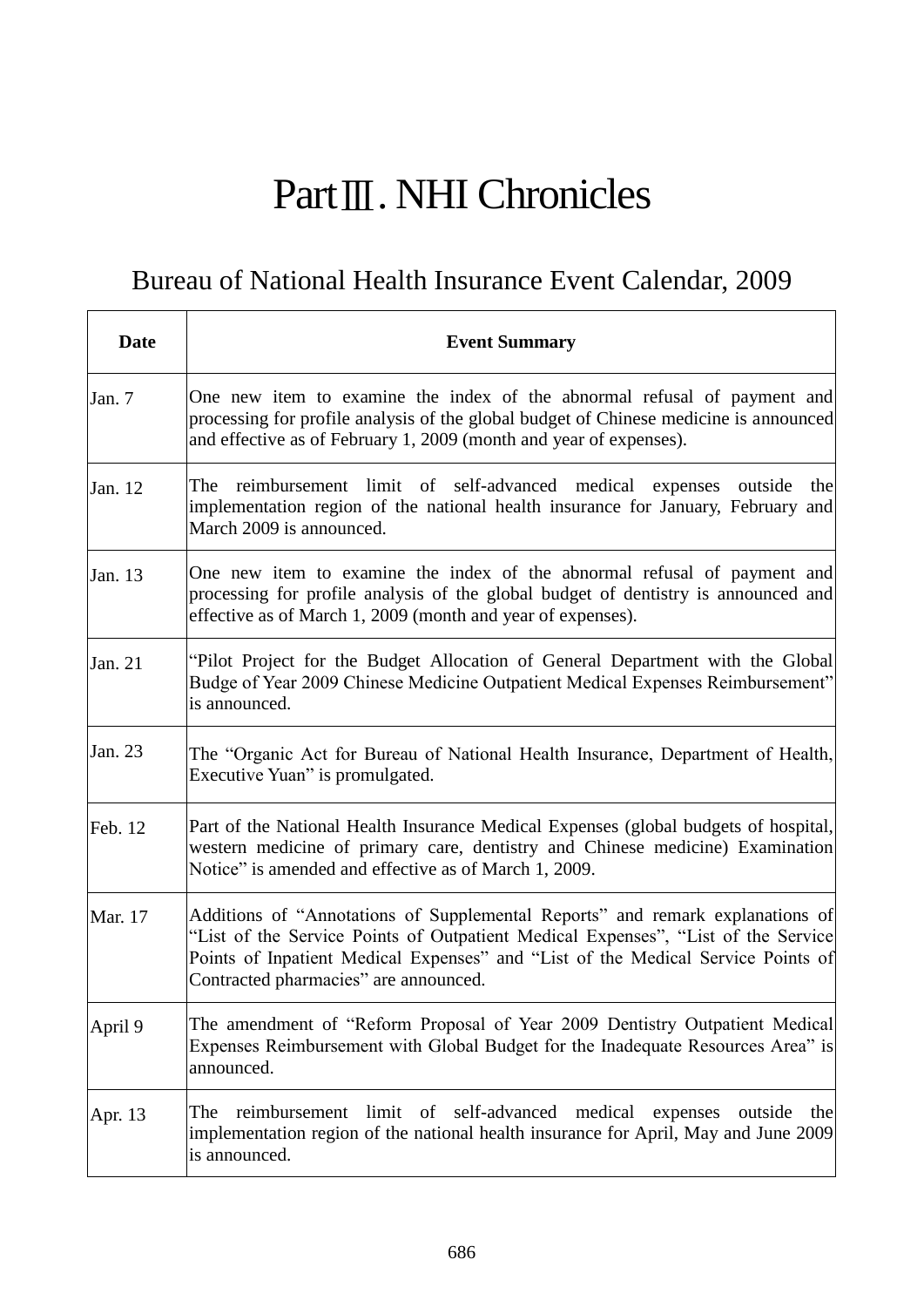## PartⅢ. NHI Chronicles

## Bureau of National Health Insurance Event Calendar, 2009

 $\mathbf{r}$ 

| Date    | <b>Event Summary</b>                                                                                                                                                                                                                                                                            |
|---------|-------------------------------------------------------------------------------------------------------------------------------------------------------------------------------------------------------------------------------------------------------------------------------------------------|
| Jan. 7  | One new item to examine the index of the abnormal refusal of payment and<br>processing for profile analysis of the global budget of Chinese medicine is announced<br>and effective as of February 1, 2009 (month and year of expenses).                                                         |
| Jan. 12 | The reimbursement limit of self-advanced medical expenses outside<br>the<br>implementation region of the national health insurance for January, February and<br>March 2009 is announced.                                                                                                        |
| Jan. 13 | One new item to examine the index of the abnormal refusal of payment and<br>processing for profile analysis of the global budget of dentistry is announced and<br>effective as of March 1, 2009 (month and year of expenses).                                                                   |
| Jan. 21 | "Pilot Project for the Budget Allocation of General Department with the Global<br>Budge of Year 2009 Chinese Medicine Outpatient Medical Expenses Reimbursement"<br>is announced.                                                                                                               |
| Jan. 23 | The "Organic Act for Bureau of National Health Insurance, Department of Health,<br>Executive Yuan" is promulgated.                                                                                                                                                                              |
| Feb. 12 | Part of the National Health Insurance Medical Expenses (global budgets of hospital,<br>western medicine of primary care, dentistry and Chinese medicine) Examination<br>Notice" is amended and effective as of March 1, 2009.                                                                   |
| Mar. 17 | Additions of "Annotations of Supplemental Reports" and remark explanations of<br>"List of the Service Points of Outpatient Medical Expenses", "List of the Service<br>Points of Inpatient Medical Expenses" and "List of the Medical Service Points of<br>Contracted pharmacies" are announced. |
| April 9 | The amendment of "Reform Proposal of Year 2009 Dentistry Outpatient Medical<br>Expenses Reimbursement with Global Budget for the Inadequate Resources Area" is<br>announced.                                                                                                                    |
| Apr. 13 | limit of self-advanced<br>medical<br>reimbursement<br>expenses<br>outside<br>The<br>the<br>implementation region of the national health insurance for April, May and June 2009<br>is announced.                                                                                                 |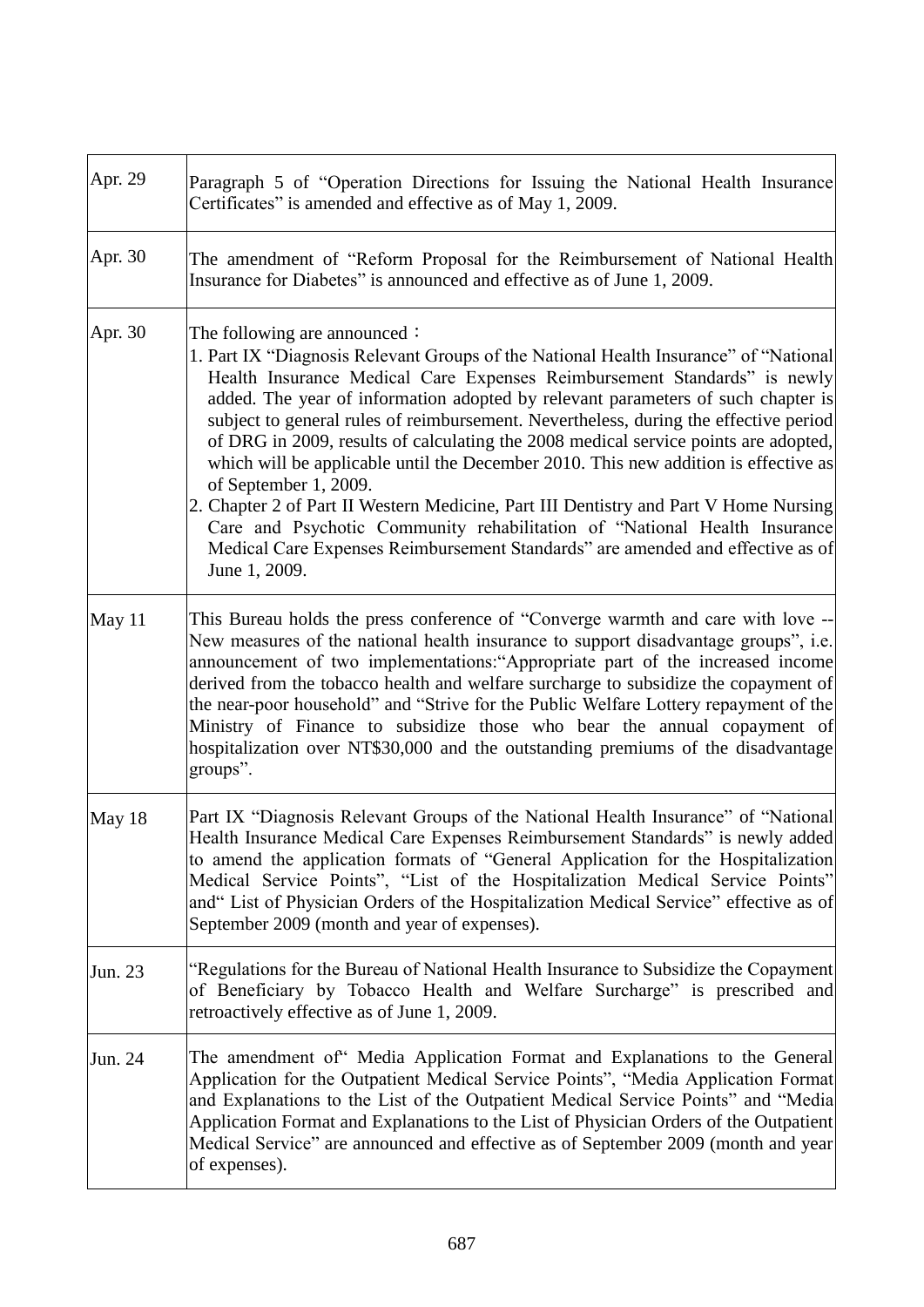| Apr. 29 | Paragraph 5 of "Operation Directions for Issuing the National Health Insurance<br>Certificates" is amended and effective as of May 1, 2009.                                                                                                                                                                                                                                                                                                                                                                                                                                                                                                                                                                                                                                                                                                                         |
|---------|---------------------------------------------------------------------------------------------------------------------------------------------------------------------------------------------------------------------------------------------------------------------------------------------------------------------------------------------------------------------------------------------------------------------------------------------------------------------------------------------------------------------------------------------------------------------------------------------------------------------------------------------------------------------------------------------------------------------------------------------------------------------------------------------------------------------------------------------------------------------|
| Apr. 30 | The amendment of "Reform Proposal for the Reimbursement of National Health<br>Insurance for Diabetes" is announced and effective as of June 1, 2009.                                                                                                                                                                                                                                                                                                                                                                                                                                                                                                                                                                                                                                                                                                                |
| Apr. 30 | The following are announced $\colon$<br>1. Part IX "Diagnosis Relevant Groups of the National Health Insurance" of "National<br>Health Insurance Medical Care Expenses Reimbursement Standards" is newly<br>added. The year of information adopted by relevant parameters of such chapter is<br>subject to general rules of reimbursement. Nevertheless, during the effective period<br>of DRG in 2009, results of calculating the 2008 medical service points are adopted,<br>which will be applicable until the December 2010. This new addition is effective as<br>of September 1, 2009.<br>2. Chapter 2 of Part II Western Medicine, Part III Dentistry and Part V Home Nursing<br>Care and Psychotic Community rehabilitation of "National Health Insurance<br>Medical Care Expenses Reimbursement Standards" are amended and effective as of<br>June 1, 2009. |
| May 11  | This Bureau holds the press conference of "Converge warmth and care with love --<br>New measures of the national health insurance to support disadvantage groups", i.e.<br>announcement of two implementations:"Appropriate part of the increased income<br>derived from the tobacco health and welfare surcharge to subsidize the copayment of<br>the near-poor household" and "Strive for the Public Welfare Lottery repayment of the<br>Ministry of Finance to subsidize those who bear the annual copayment of<br>hospitalization over NT\$30,000 and the outstanding premiums of the disadvantage<br>groups".                                                                                                                                                                                                                                                  |
| May 18  | Part IX "Diagnosis Relevant Groups of the National Health Insurance" of "National<br>Health Insurance Medical Care Expenses Reimbursement Standards" is newly added<br>to amend the application formats of "General Application for the Hospitalization<br>Medical Service Points", "List of the Hospitalization Medical Service Points"<br>and" List of Physician Orders of the Hospitalization Medical Service" effective as of<br>September 2009 (month and year of expenses).                                                                                                                                                                                                                                                                                                                                                                                   |
| Jun. 23 | "Regulations for the Bureau of National Health Insurance to Subsidize the Copayment<br>of Beneficiary by Tobacco Health and Welfare Surcharge" is prescribed and<br>retroactively effective as of June 1, 2009.                                                                                                                                                                                                                                                                                                                                                                                                                                                                                                                                                                                                                                                     |
| Jun. 24 | The amendment of" Media Application Format and Explanations to the General<br>Application for the Outpatient Medical Service Points", "Media Application Format<br>and Explanations to the List of the Outpatient Medical Service Points" and "Media<br>Application Format and Explanations to the List of Physician Orders of the Outpatient<br>Medical Service" are announced and effective as of September 2009 (month and year<br>of expenses).                                                                                                                                                                                                                                                                                                                                                                                                                 |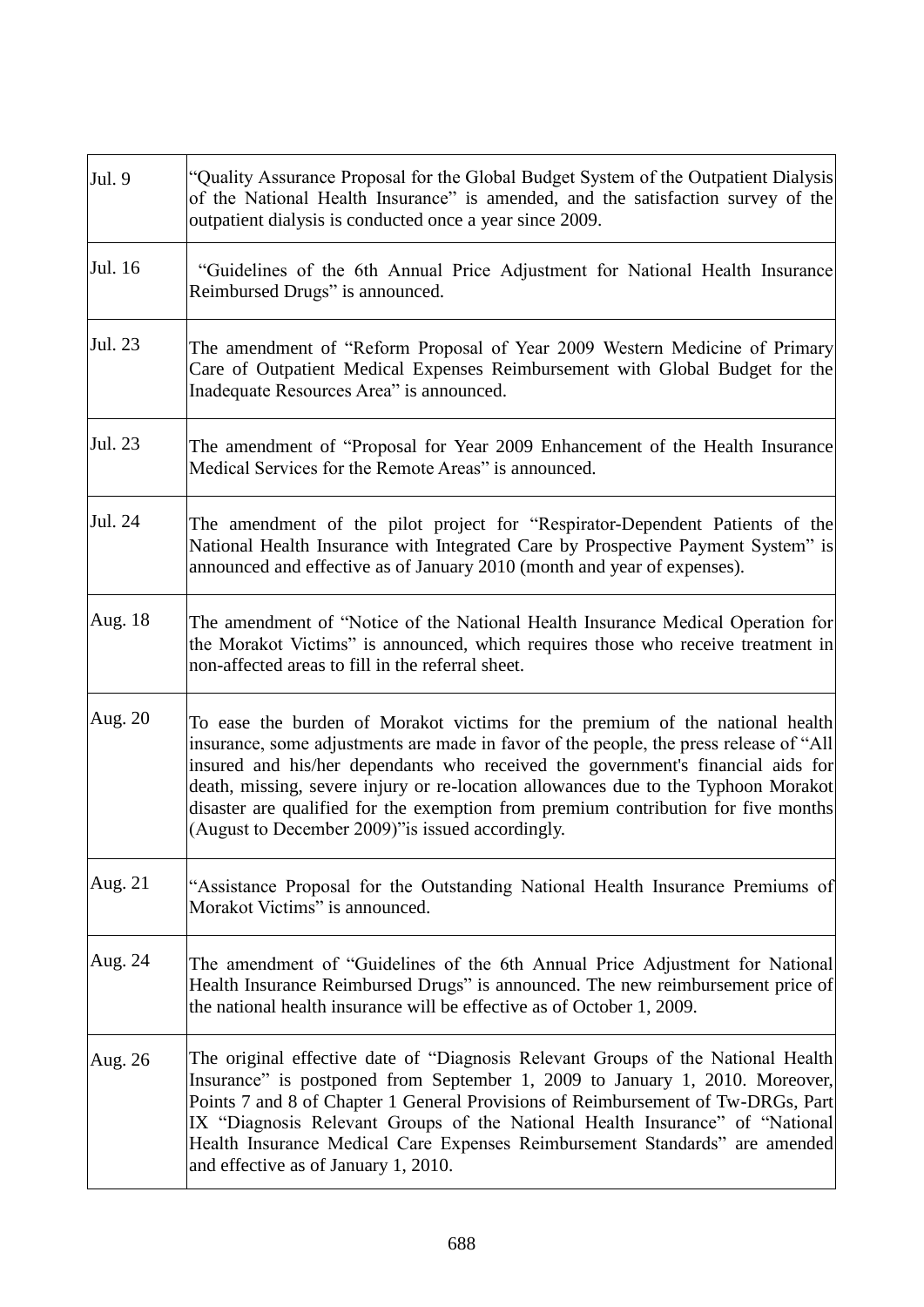| Jul. 9  | "Quality Assurance Proposal for the Global Budget System of the Outpatient Dialysis<br>of the National Health Insurance" is amended, and the satisfaction survey of the<br>outpatient dialysis is conducted once a year since 2009.                                                                                                                                                                                                                                                        |
|---------|--------------------------------------------------------------------------------------------------------------------------------------------------------------------------------------------------------------------------------------------------------------------------------------------------------------------------------------------------------------------------------------------------------------------------------------------------------------------------------------------|
| Jul. 16 | "Guidelines of the 6th Annual Price Adjustment for National Health Insurance<br>Reimbursed Drugs" is announced.                                                                                                                                                                                                                                                                                                                                                                            |
| Jul. 23 | The amendment of "Reform Proposal of Year 2009 Western Medicine of Primary<br>Care of Outpatient Medical Expenses Reimbursement with Global Budget for the<br>Inadequate Resources Area" is announced.                                                                                                                                                                                                                                                                                     |
| Jul. 23 | The amendment of "Proposal for Year 2009 Enhancement of the Health Insurance<br>Medical Services for the Remote Areas" is announced.                                                                                                                                                                                                                                                                                                                                                       |
| Jul. 24 | The amendment of the pilot project for "Respirator-Dependent Patients of the<br>National Health Insurance with Integrated Care by Prospective Payment System" is<br>announced and effective as of January 2010 (month and year of expenses).                                                                                                                                                                                                                                               |
| Aug. 18 | The amendment of "Notice of the National Health Insurance Medical Operation for<br>the Morakot Victims" is announced, which requires those who receive treatment in<br>non-affected areas to fill in the referral sheet.                                                                                                                                                                                                                                                                   |
| Aug. 20 | To ease the burden of Morakot victims for the premium of the national health<br>insurance, some adjustments are made in favor of the people, the press release of "All<br>insured and his/her dependants who received the government's financial aids for<br>death, missing, severe injury or re-location allowances due to the Typhoon Morakot<br>disaster are qualified for the exemption from premium contribution for five months<br>(August to December 2009)" is issued accordingly. |
| Aug. 21 | "Assistance Proposal for the Outstanding National Health Insurance Premiums of<br>Morakot Victims" is announced.                                                                                                                                                                                                                                                                                                                                                                           |
| Aug. 24 | The amendment of "Guidelines of the 6th Annual Price Adjustment for National<br>Health Insurance Reimbursed Drugs" is announced. The new reimbursement price of<br>the national health insurance will be effective as of October 1, 2009.                                                                                                                                                                                                                                                  |
| Aug. 26 | The original effective date of "Diagnosis Relevant Groups of the National Health<br>Insurance" is postponed from September 1, 2009 to January 1, 2010. Moreover,<br>Points 7 and 8 of Chapter 1 General Provisions of Reimbursement of Tw-DRGs, Part<br>IX "Diagnosis Relevant Groups of the National Health Insurance" of "National<br>Health Insurance Medical Care Expenses Reimbursement Standards" are amended<br>and effective as of January 1, 2010.                                |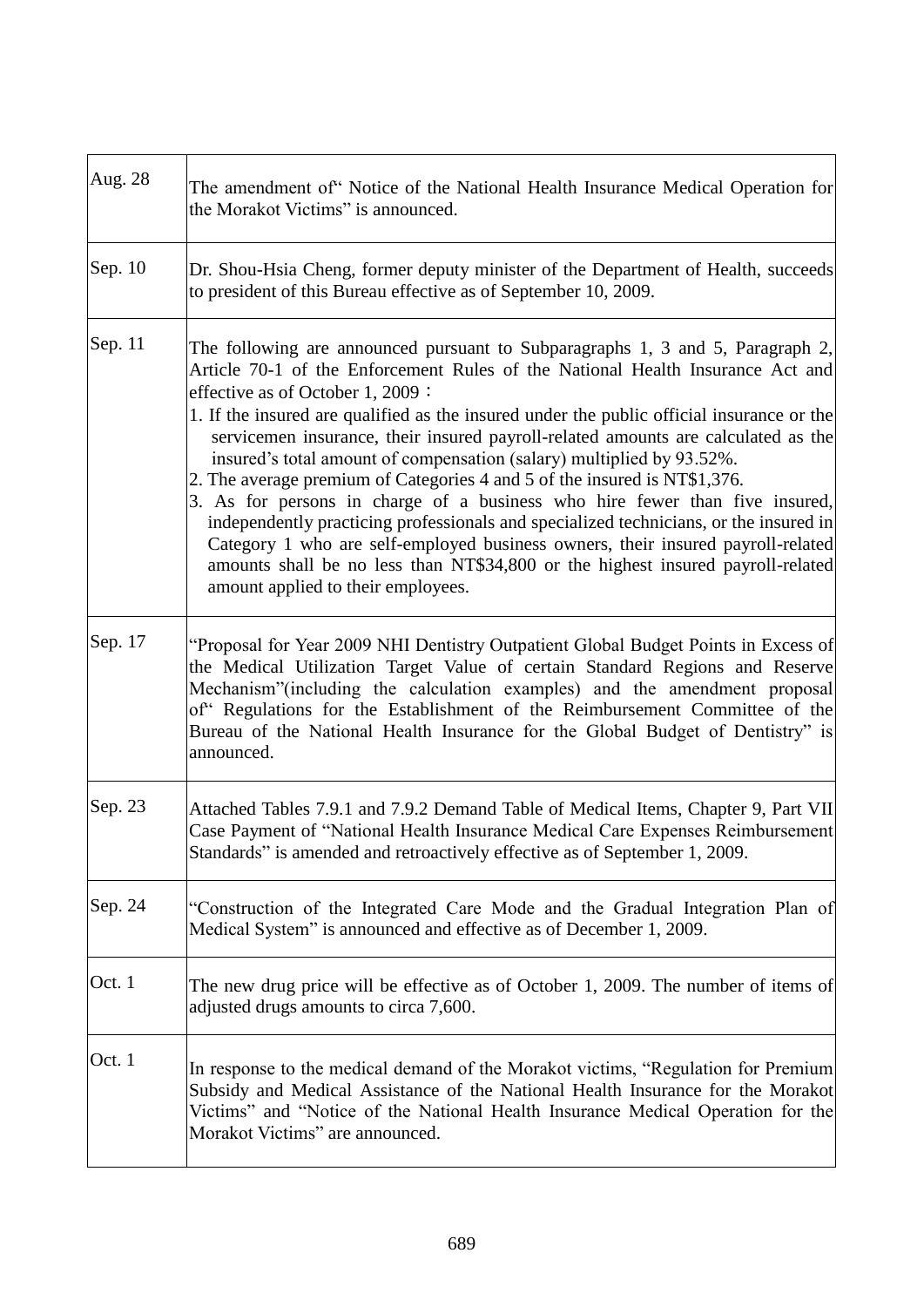| Aug. 28   | The amendment of Notice of the National Health Insurance Medical Operation for<br>the Morakot Victims" is announced.                                                                                                                                                                                                                                                                                                                                                                                                                                                                                                                                                                                                                                                                                                                                                                                                             |
|-----------|----------------------------------------------------------------------------------------------------------------------------------------------------------------------------------------------------------------------------------------------------------------------------------------------------------------------------------------------------------------------------------------------------------------------------------------------------------------------------------------------------------------------------------------------------------------------------------------------------------------------------------------------------------------------------------------------------------------------------------------------------------------------------------------------------------------------------------------------------------------------------------------------------------------------------------|
| Sep. $10$ | Dr. Shou-Hsia Cheng, former deputy minister of the Department of Health, succeeds<br>to president of this Bureau effective as of September 10, 2009.                                                                                                                                                                                                                                                                                                                                                                                                                                                                                                                                                                                                                                                                                                                                                                             |
| Sep. 11   | The following are announced pursuant to Subparagraphs 1, 3 and 5, Paragraph 2,<br>Article 70-1 of the Enforcement Rules of the National Health Insurance Act and<br>effective as of October 1, 2009:<br>1. If the insured are qualified as the insured under the public official insurance or the<br>servicemen insurance, their insured payroll-related amounts are calculated as the<br>insured's total amount of compensation (salary) multiplied by 93.52%.<br>2. The average premium of Categories 4 and 5 of the insured is NT\$1,376.<br>3. As for persons in charge of a business who hire fewer than five insured,<br>independently practicing professionals and specialized technicians, or the insured in<br>Category 1 who are self-employed business owners, their insured payroll-related<br>amounts shall be no less than NT\$34,800 or the highest insured payroll-related<br>amount applied to their employees. |
| Sep. 17   | "Proposal for Year 2009 NHI Dentistry Outpatient Global Budget Points in Excess of<br>the Medical Utilization Target Value of certain Standard Regions and Reserve<br>Mechanism"(including the calculation examples) and the amendment proposal<br>of" Regulations for the Establishment of the Reimbursement Committee of the<br>Bureau of the National Health Insurance for the Global Budget of Dentistry" is<br>announced.                                                                                                                                                                                                                                                                                                                                                                                                                                                                                                   |
| Sep. 23   | Attached Tables 7.9.1 and 7.9.2 Demand Table of Medical Items, Chapter 9, Part VII<br>Case Payment of "National Health Insurance Medical Care Expenses Reimbursement<br>Standards" is amended and retroactively effective as of September 1, 2009.                                                                                                                                                                                                                                                                                                                                                                                                                                                                                                                                                                                                                                                                               |
| Sep. 24   | "Construction of the Integrated Care Mode and the Gradual Integration Plan of<br>Medical System" is announced and effective as of December 1, 2009.                                                                                                                                                                                                                                                                                                                                                                                                                                                                                                                                                                                                                                                                                                                                                                              |
| Oct. 1    | The new drug price will be effective as of October 1, 2009. The number of items of<br>adjusted drugs amounts to circa 7,600.                                                                                                                                                                                                                                                                                                                                                                                                                                                                                                                                                                                                                                                                                                                                                                                                     |
| Oct. 1    | In response to the medical demand of the Morakot victims, "Regulation for Premium<br>Subsidy and Medical Assistance of the National Health Insurance for the Morakot<br>Victims" and "Notice of the National Health Insurance Medical Operation for the<br>Morakot Victims" are announced.                                                                                                                                                                                                                                                                                                                                                                                                                                                                                                                                                                                                                                       |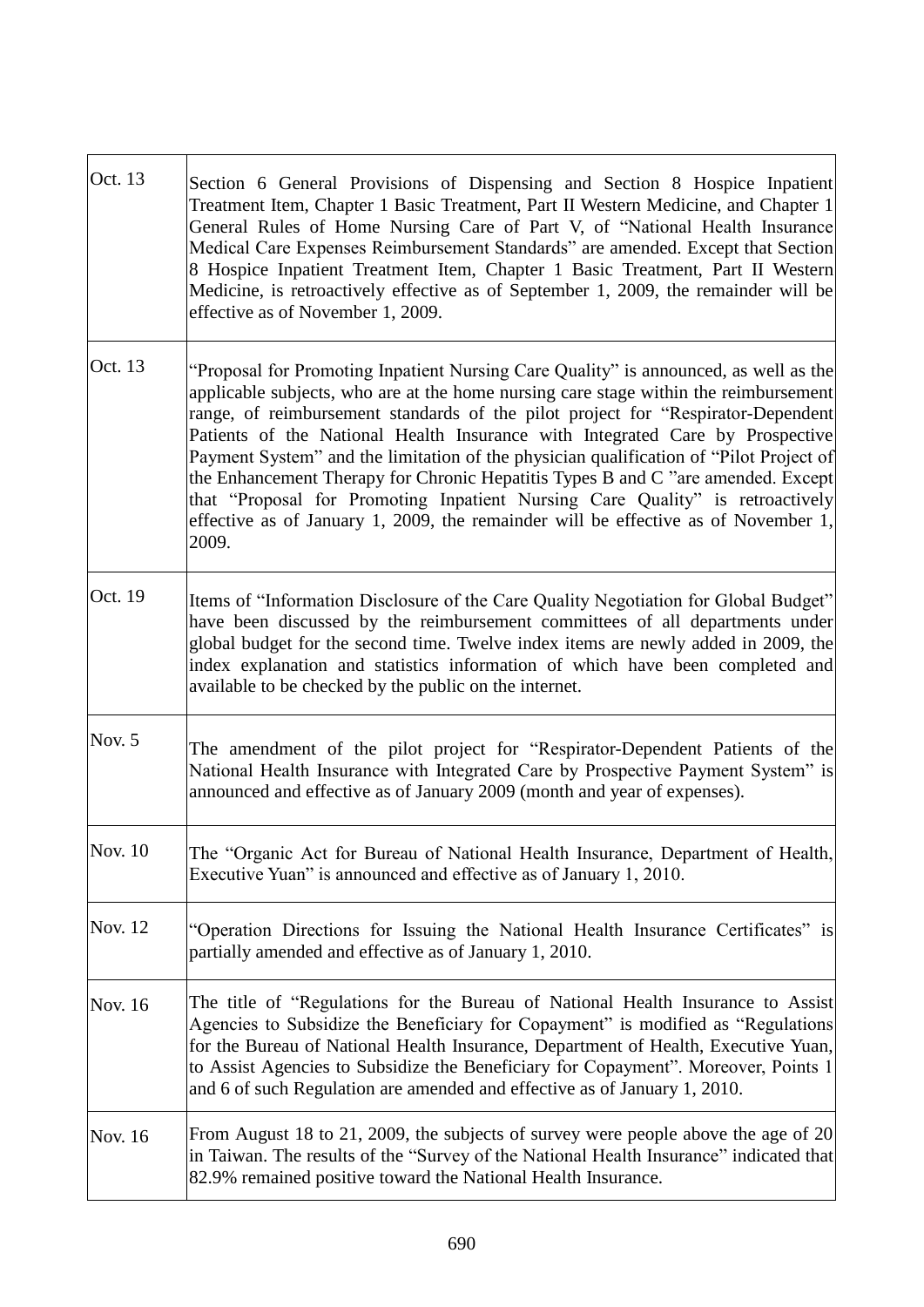| Oct. 13        | Section 6 General Provisions of Dispensing and Section 8 Hospice Inpatient                                                                                                                                                                                                                                                                                                                                                                                                                                                                                                                                                                                                                                      |
|----------------|-----------------------------------------------------------------------------------------------------------------------------------------------------------------------------------------------------------------------------------------------------------------------------------------------------------------------------------------------------------------------------------------------------------------------------------------------------------------------------------------------------------------------------------------------------------------------------------------------------------------------------------------------------------------------------------------------------------------|
|                | Treatment Item, Chapter 1 Basic Treatment, Part II Western Medicine, and Chapter 1<br>General Rules of Home Nursing Care of Part V, of "National Health Insurance<br>Medical Care Expenses Reimbursement Standards" are amended. Except that Section<br>8 Hospice Inpatient Treatment Item, Chapter 1 Basic Treatment, Part II Western<br>Medicine, is retroactively effective as of September 1, 2009, the remainder will be<br>effective as of November 1, 2009.                                                                                                                                                                                                                                              |
| Oct. 13        | "Proposal for Promoting Inpatient Nursing Care Quality" is announced, as well as the<br>applicable subjects, who are at the home nursing care stage within the reimbursement<br>range, of reimbursement standards of the pilot project for "Respirator-Dependent<br>Patients of the National Health Insurance with Integrated Care by Prospective<br>Payment System" and the limitation of the physician qualification of "Pilot Project of<br>the Enhancement Therapy for Chronic Hepatitis Types B and C "are amended. Except<br>that "Proposal for Promoting Inpatient Nursing Care Quality" is retroactively<br>effective as of January 1, 2009, the remainder will be effective as of November 1,<br>2009. |
| Oct. 19        | Items of "Information Disclosure of the Care Quality Negotiation for Global Budget"<br>have been discussed by the reimbursement committees of all departments under<br>global budget for the second time. Twelve index items are newly added in 2009, the<br>index explanation and statistics information of which have been completed and<br>available to be checked by the public on the internet.                                                                                                                                                                                                                                                                                                            |
| Nov. 5         | The amendment of the pilot project for "Respirator-Dependent Patients of the<br>National Health Insurance with Integrated Care by Prospective Payment System" is<br>announced and effective as of January 2009 (month and year of expenses).                                                                                                                                                                                                                                                                                                                                                                                                                                                                    |
| Nov. 10        | The "Organic Act for Bureau of National Health Insurance, Department of Health,<br>Executive Yuan" is announced and effective as of January 1, 2010.                                                                                                                                                                                                                                                                                                                                                                                                                                                                                                                                                            |
| <b>Nov. 12</b> | "Operation Directions for Issuing the National Health Insurance Certificates" is<br>partially amended and effective as of January 1, 2010.                                                                                                                                                                                                                                                                                                                                                                                                                                                                                                                                                                      |
| Nov. 16        | The title of "Regulations for the Bureau of National Health Insurance to Assist<br>Agencies to Subsidize the Beneficiary for Copayment" is modified as "Regulations"<br>for the Bureau of National Health Insurance, Department of Health, Executive Yuan,<br>to Assist Agencies to Subsidize the Beneficiary for Copayment". Moreover, Points 1<br>and 6 of such Regulation are amended and effective as of January 1, 2010.                                                                                                                                                                                                                                                                                   |
| Nov. 16        | From August 18 to 21, 2009, the subjects of survey were people above the age of 20<br>in Taiwan. The results of the "Survey of the National Health Insurance" indicated that<br>82.9% remained positive toward the National Health Insurance.                                                                                                                                                                                                                                                                                                                                                                                                                                                                   |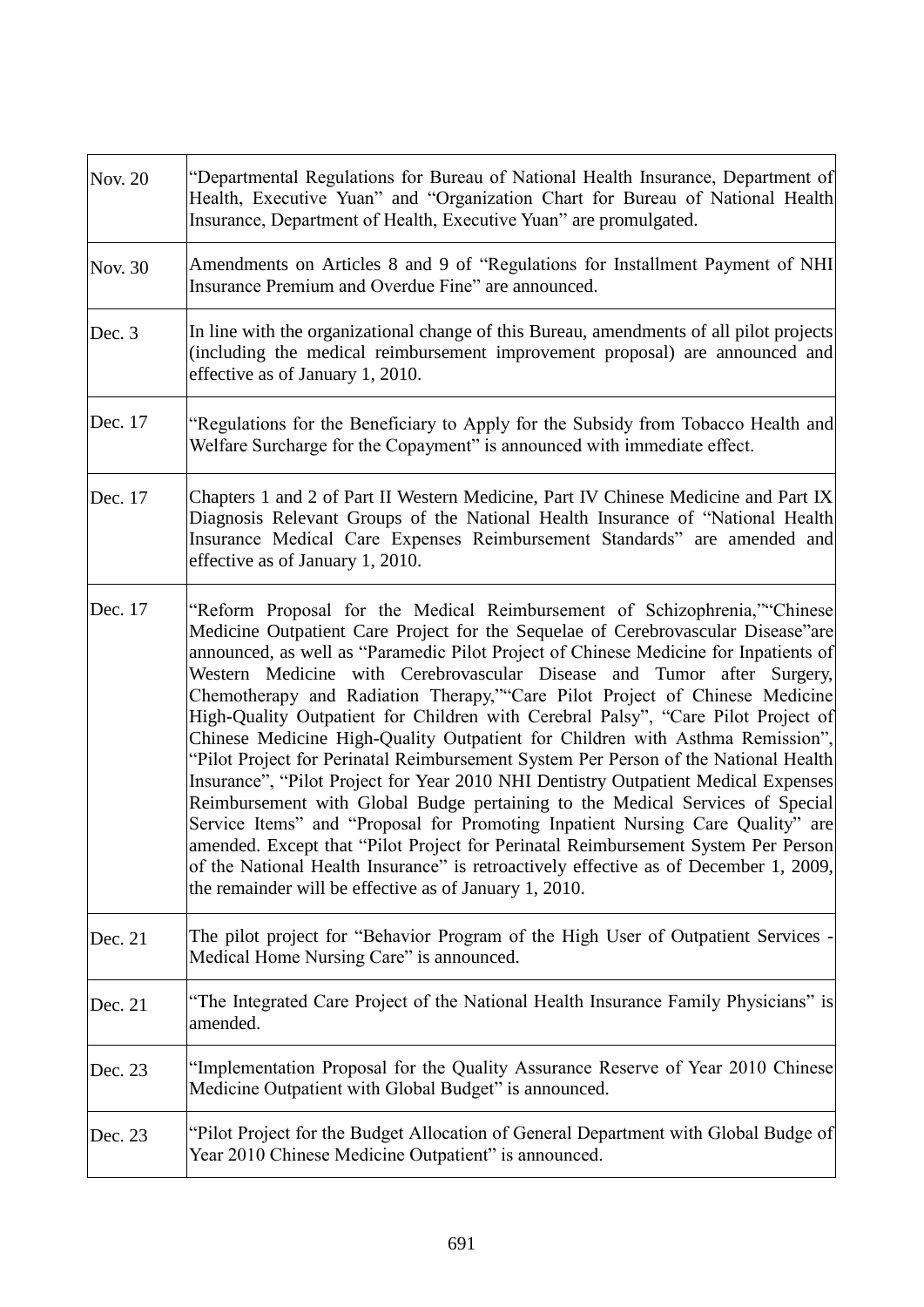| <b>Nov. 20</b> | "Departmental Regulations for Bureau of National Health Insurance, Department of<br>Health, Executive Yuan" and "Organization Chart for Bureau of National Health<br>Insurance, Department of Health, Executive Yuan" are promulgated.                                                                                                                                                                                                                                                                                                                                                                                                                                                                                                                                                                                                                                                                                                                                                                                                                                                                                                                                      |
|----------------|-----------------------------------------------------------------------------------------------------------------------------------------------------------------------------------------------------------------------------------------------------------------------------------------------------------------------------------------------------------------------------------------------------------------------------------------------------------------------------------------------------------------------------------------------------------------------------------------------------------------------------------------------------------------------------------------------------------------------------------------------------------------------------------------------------------------------------------------------------------------------------------------------------------------------------------------------------------------------------------------------------------------------------------------------------------------------------------------------------------------------------------------------------------------------------|
| Nov. 30        | Amendments on Articles 8 and 9 of "Regulations for Installment Payment of NHI<br>Insurance Premium and Overdue Fine" are announced.                                                                                                                                                                                                                                                                                                                                                                                                                                                                                                                                                                                                                                                                                                                                                                                                                                                                                                                                                                                                                                         |
| Dec. 3         | In line with the organizational change of this Bureau, amendments of all pilot projects<br>(including the medical reimbursement improvement proposal) are announced and<br>effective as of January 1, 2010.                                                                                                                                                                                                                                                                                                                                                                                                                                                                                                                                                                                                                                                                                                                                                                                                                                                                                                                                                                 |
| Dec. 17        | "Regulations for the Beneficiary to Apply for the Subsidy from Tobacco Health and<br>Welfare Surcharge for the Copayment" is announced with immediate effect.                                                                                                                                                                                                                                                                                                                                                                                                                                                                                                                                                                                                                                                                                                                                                                                                                                                                                                                                                                                                               |
| Dec. 17        | Chapters 1 and 2 of Part II Western Medicine, Part IV Chinese Medicine and Part IX<br>Diagnosis Relevant Groups of the National Health Insurance of "National Health<br>Insurance Medical Care Expenses Reimbursement Standards" are amended and<br>effective as of January 1, 2010.                                                                                                                                                                                                                                                                                                                                                                                                                                                                                                                                                                                                                                                                                                                                                                                                                                                                                        |
| Dec. 17        | "Reform Proposal for the Medical Reimbursement of Schizophrenia," Chinese<br>Medicine Outpatient Care Project for the Sequelae of Cerebrovascular Disease"are<br>announced, as well as "Paramedic Pilot Project of Chinese Medicine for Inpatients of<br>Western Medicine with Cerebrovascular Disease and Tumor after Surgery,<br>Chemotherapy and Radiation Therapy,""Care Pilot Project of Chinese Medicine<br>High-Quality Outpatient for Children with Cerebral Palsy", "Care Pilot Project of<br>Chinese Medicine High-Quality Outpatient for Children with Asthma Remission",<br>"Pilot Project for Perinatal Reimbursement System Per Person of the National Health<br>Insurance", "Pilot Project for Year 2010 NHI Dentistry Outpatient Medical Expenses<br>Reimbursement with Global Budge pertaining to the Medical Services of Special<br>Service Items" and "Proposal for Promoting Inpatient Nursing Care Quality" are<br>amended. Except that "Pilot Project for Perinatal Reimbursement System Per Person<br>of the National Health Insurance" is retroactively effective as of December 1, 2009,<br>the remainder will be effective as of January 1, 2010. |
| Dec. 21        | The pilot project for "Behavior Program of the High User of Outpatient Services -<br>Medical Home Nursing Care" is announced.                                                                                                                                                                                                                                                                                                                                                                                                                                                                                                                                                                                                                                                                                                                                                                                                                                                                                                                                                                                                                                               |
| Dec. 21        | "The Integrated Care Project of the National Health Insurance Family Physicians" is<br>amended.                                                                                                                                                                                                                                                                                                                                                                                                                                                                                                                                                                                                                                                                                                                                                                                                                                                                                                                                                                                                                                                                             |
| Dec. 23        | "Implementation Proposal for the Quality Assurance Reserve of Year 2010 Chinese<br>Medicine Outpatient with Global Budget" is announced.                                                                                                                                                                                                                                                                                                                                                                                                                                                                                                                                                                                                                                                                                                                                                                                                                                                                                                                                                                                                                                    |
| Dec. 23        | "Pilot Project for the Budget Allocation of General Department with Global Budge of<br>Year 2010 Chinese Medicine Outpatient" is announced.                                                                                                                                                                                                                                                                                                                                                                                                                                                                                                                                                                                                                                                                                                                                                                                                                                                                                                                                                                                                                                 |